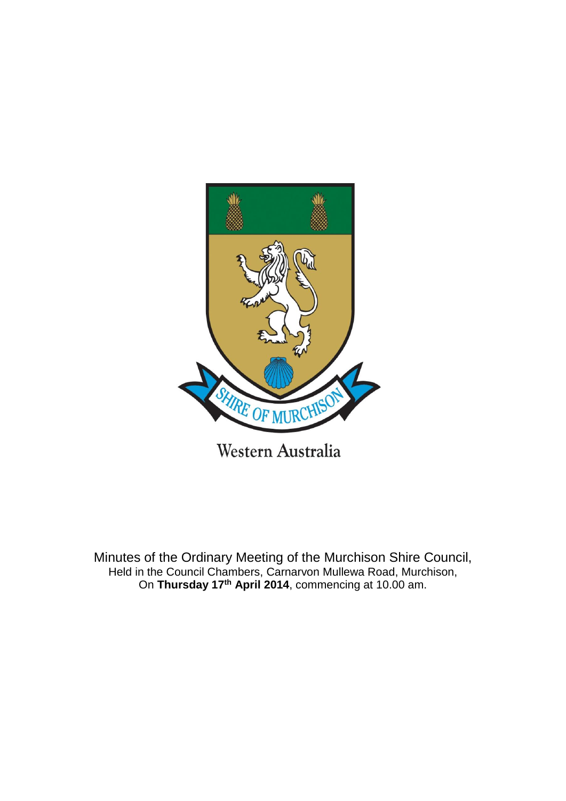

Minutes of the Ordinary Meeting of the Murchison Shire Council, Held in the Council Chambers, Carnarvon Mullewa Road, Murchison, On **Thursday 17th April 2014**, commencing at 10.00 am.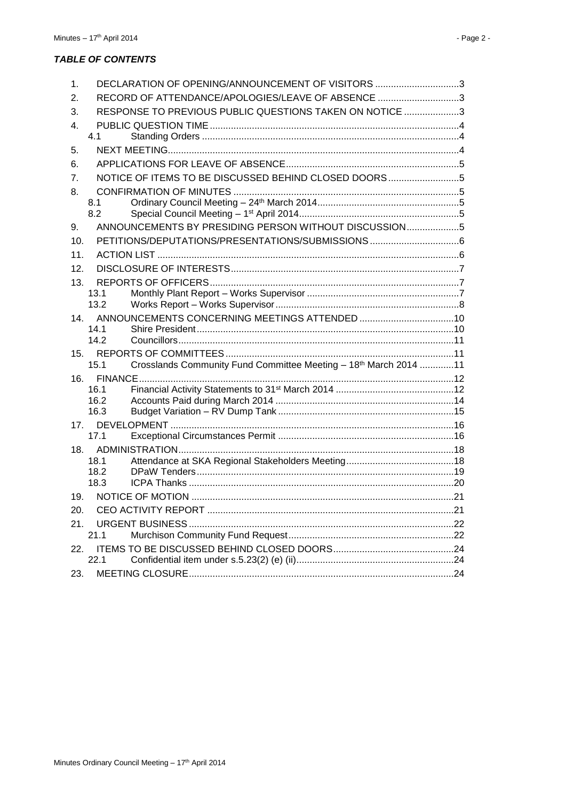#### *TABLE OF CONTENTS*

| $\mathbf 1$ . | DECLARATION OF OPENING/ANNOUNCEMENT OF VISITORS 3                        |  |
|---------------|--------------------------------------------------------------------------|--|
| 2.            | RECORD OF ATTENDANCE/APOLOGIES/LEAVE OF ABSENCE 3                        |  |
| 3.            | RESPONSE TO PREVIOUS PUBLIC QUESTIONS TAKEN ON NOTICE 3                  |  |
| 4.            |                                                                          |  |
|               | 4.1                                                                      |  |
| 5.            |                                                                          |  |
| 6.            |                                                                          |  |
| 7.            | NOTICE OF ITEMS TO BE DISCUSSED BEHIND CLOSED DOORS5                     |  |
| 8.            |                                                                          |  |
|               | 8.1                                                                      |  |
|               | 8.2                                                                      |  |
| 9.            | ANNOUNCEMENTS BY PRESIDING PERSON WITHOUT DISCUSSION5                    |  |
| 10.           |                                                                          |  |
| 11.           |                                                                          |  |
| 12.           |                                                                          |  |
| 13.           |                                                                          |  |
|               | 13.1                                                                     |  |
|               | 13.2                                                                     |  |
| 14.           | 14.1                                                                     |  |
|               | 14.2                                                                     |  |
| 15.           |                                                                          |  |
|               | Crosslands Community Fund Committee Meeting - 18th March 2014 11<br>15.1 |  |
| 16.           |                                                                          |  |
|               | 16.1                                                                     |  |
|               | 16.2                                                                     |  |
|               | 16.3                                                                     |  |
|               |                                                                          |  |
|               | 17.1                                                                     |  |
|               | 18.1                                                                     |  |
|               | 18.2                                                                     |  |
|               | 18.3                                                                     |  |
| 19.           |                                                                          |  |
| 20.           |                                                                          |  |
| 21.           |                                                                          |  |
|               | 21.1                                                                     |  |
| 22.           |                                                                          |  |
|               | 22.1                                                                     |  |
| 23.           |                                                                          |  |
|               |                                                                          |  |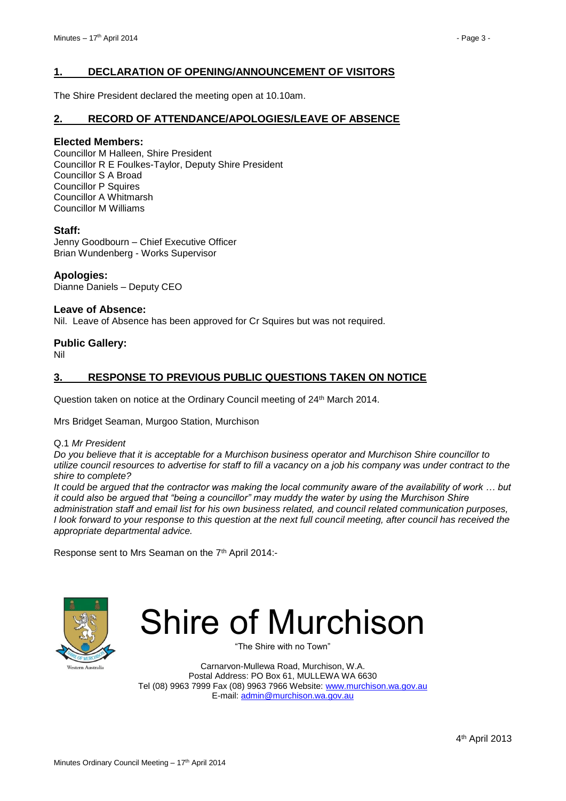#### <span id="page-2-0"></span>**1. DECLARATION OF OPENING/ANNOUNCEMENT OF VISITORS**

The Shire President declared the meeting open at 10.10am.

#### <span id="page-2-1"></span>**2. RECORD OF ATTENDANCE/APOLOGIES/LEAVE OF ABSENCE**

#### **Elected Members:**

Councillor M Halleen, Shire President Councillor R E Foulkes-Taylor, Deputy Shire President Councillor S A Broad Councillor P Squires Councillor A Whitmarsh Councillor M Williams

#### **Staff:**

Jenny Goodbourn – Chief Executive Officer Brian Wundenberg - Works Supervisor

**Apologies:** Dianne Daniels – Deputy CEO

#### **Leave of Absence:**

Nil. Leave of Absence has been approved for Cr Squires but was not required.

#### **Public Gallery:**

Nil

#### <span id="page-2-2"></span>**3. RESPONSE TO PREVIOUS PUBLIC QUESTIONS TAKEN ON NOTICE**

Question taken on notice at the Ordinary Council meeting of 24<sup>th</sup> March 2014.

Mrs Bridget Seaman, Murgoo Station, Murchison

Q.1 *Mr President* 

*Do you believe that it is acceptable for a Murchison business operator and Murchison Shire councillor to utilize council resources to advertise for staff to fill a vacancy on a job his company was under contract to the shire to complete?*

*It could be argued that the contractor was making the local community aware of the availability of work … but it could also be argued that "being a councillor" may muddy the water by using the Murchison Shire administration staff and email list for his own business related, and council related communication purposes, I look forward to your response to this question at the next full council meeting, after council has received the appropriate departmental advice.*

Response sent to Mrs Seaman on the 7<sup>th</sup> April 2014:-



# Shire of Murchison

"The Shire with no Town"

Carnarvon-Mullewa Road, Murchison, W.A. Postal Address: PO Box 61, MULLEWA WA 6630 Tel (08) 9963 7999 Fax (08) 9963 7966 Website: [www.murchison.wa.gov.au](http://www.murchison.wa.gov.au/) E-mail[: admin@murchison.wa.gov.au](mailto:admin@murchison.wa.gov.au)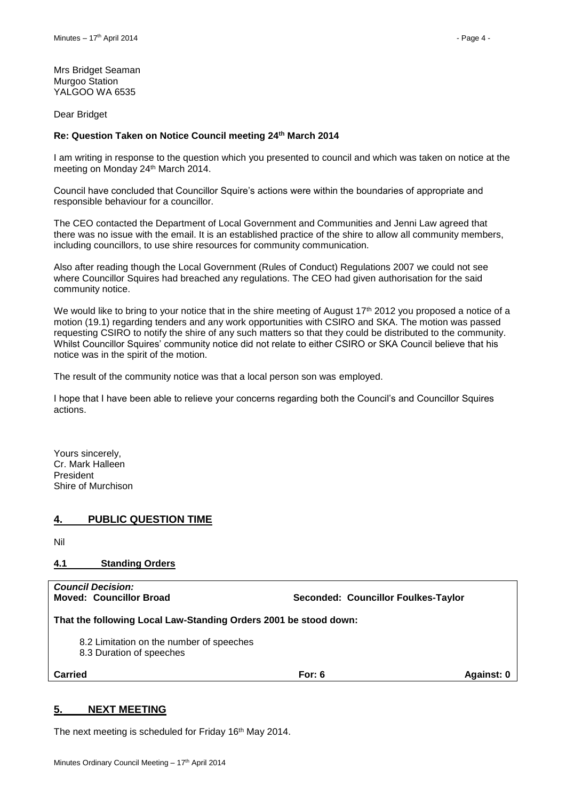Mrs Bridget Seaman Murgoo Station YALGOO WA 6535

Dear Bridget

#### **Re: Question Taken on Notice Council meeting 24th March 2014**

I am writing in response to the question which you presented to council and which was taken on notice at the meeting on Monday 24<sup>th</sup> March 2014.

Council have concluded that Councillor Squire's actions were within the boundaries of appropriate and responsible behaviour for a councillor.

The CEO contacted the Department of Local Government and Communities and Jenni Law agreed that there was no issue with the email. It is an established practice of the shire to allow all community members, including councillors, to use shire resources for community communication.

Also after reading though the Local Government (Rules of Conduct) Regulations 2007 we could not see where Councillor Squires had breached any regulations. The CEO had given authorisation for the said community notice.

We would like to bring to your notice that in the shire meeting of August 17<sup>th</sup> 2012 you proposed a notice of a motion (19.1) regarding tenders and any work opportunities with CSIRO and SKA. The motion was passed requesting CSIRO to notify the shire of any such matters so that they could be distributed to the community. Whilst Councillor Squires' community notice did not relate to either CSIRO or SKA Council believe that his notice was in the spirit of the motion.

The result of the community notice was that a local person son was employed.

I hope that I have been able to relieve your concerns regarding both the Council's and Councillor Squires actions.

Yours sincerely, Cr. Mark Halleen President Shire of Murchison

#### <span id="page-3-0"></span>**4. PUBLIC QUESTION TIME**

Nil

#### <span id="page-3-1"></span>**4.1 Standing Orders**

*Council Decision:*

**Moved: Councillor Broad Seconded: Councillor Foulkes-Taylor**

**That the following Local Law-Standing Orders 2001 be stood down:**

8.2 Limitation on the number of speeches

8.3 Duration of speeches

**Carried For: 6 Against: 0**

#### <span id="page-3-2"></span>**5. NEXT MEETING**

The next meeting is scheduled for Friday 16th May 2014.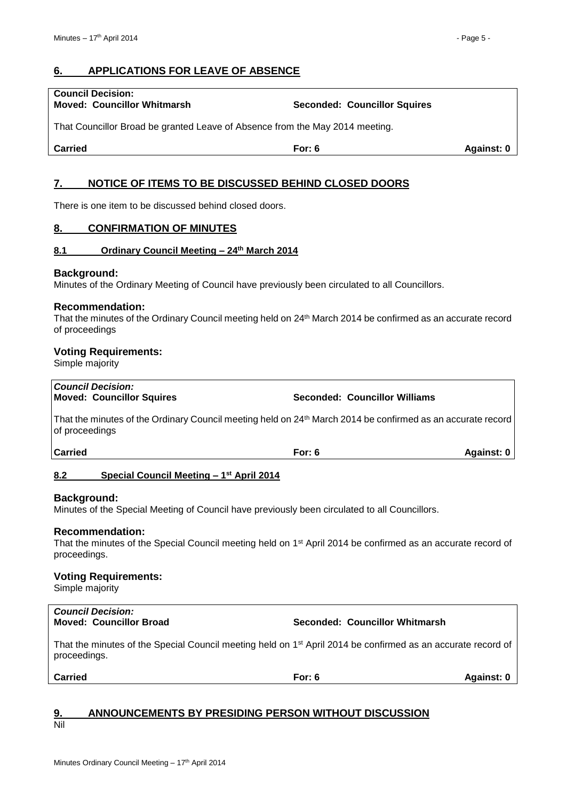### <span id="page-4-0"></span>**6. APPLICATIONS FOR LEAVE OF ABSENCE**

| <b>Council Decision:</b>           |                                     |
|------------------------------------|-------------------------------------|
| <b>Moved: Councillor Whitmarsh</b> | <b>Seconded: Councillor Squires</b> |

That Councillor Broad be granted Leave of Absence from the May 2014 meeting.

**Carried For: 6 Against: 0**

#### <span id="page-4-1"></span>**7. NOTICE OF ITEMS TO BE DISCUSSED BEHIND CLOSED DOORS**

There is one item to be discussed behind closed doors.

#### <span id="page-4-2"></span>**8. CONFIRMATION OF MINUTES**

#### <span id="page-4-3"></span>**8.1 Ordinary Council Meeting – 24 th March 2014**

#### **Background:**

Minutes of the Ordinary Meeting of Council have previously been circulated to all Councillors.

#### **Recommendation:**

That the minutes of the Ordinary Council meeting held on 24 th March 2014 be confirmed as an accurate record of proceedings

#### **Voting Requirements:**

Simple majority

| <b>Council Decision:</b>         |  |
|----------------------------------|--|
| <b>Moved: Councillor Squires</b> |  |

That the minutes of the Ordinary Council meeting held on 24<sup>th</sup> March 2014 be confirmed as an accurate record of proceedings

**Carried For: 6 Against: 0**

#### <span id="page-4-4"></span>**8.2 Special Council Meeting – 1 st April 2014**

#### **Background:**

Minutes of the Special Meeting of Council have previously been circulated to all Councillors.

#### **Recommendation:**

That the minutes of the Special Council meeting held on 1<sup>st</sup> April 2014 be confirmed as an accurate record of proceedings.

#### **Voting Requirements:**

Simple majority

# *Council Decision:*

**Moved: Councillor Broad Seconded: Councillor Whitmarsh**

**Seconded: Councillor Williams** 

That the minutes of the Special Council meeting held on 1<sup>st</sup> April 2014 be confirmed as an accurate record of proceedings.

**Carried For: 6 Against: 0**

#### <span id="page-4-5"></span>**9. ANNOUNCEMENTS BY PRESIDING PERSON WITHOUT DISCUSSION** Nil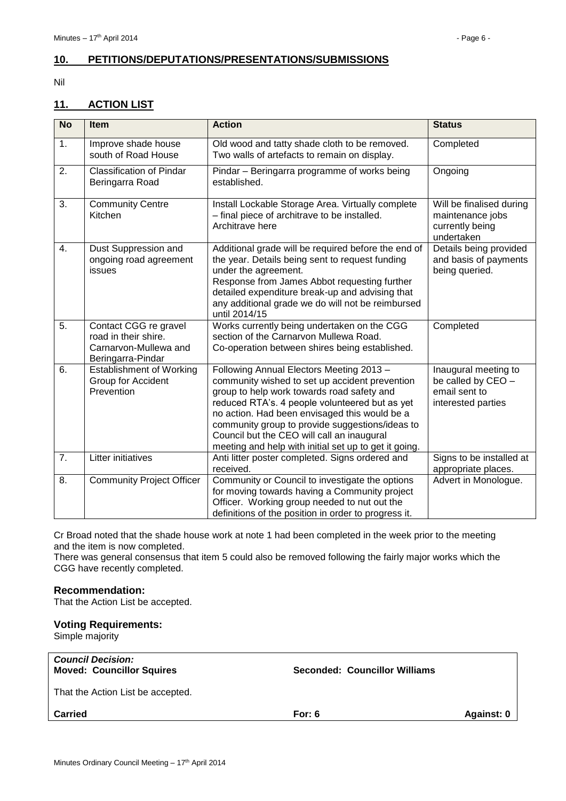#### <span id="page-5-0"></span>**10. PETITIONS/DEPUTATIONS/PRESENTATIONS/SUBMISSIONS**

#### Nil

#### <span id="page-5-1"></span>**11. ACTION LIST**

| <b>No</b>        | <b>Item</b>                                                                                 | <b>Action</b>                                                                                                                                                                                                                                                                                                                                                                                         | <b>Status</b>                                                                     |
|------------------|---------------------------------------------------------------------------------------------|-------------------------------------------------------------------------------------------------------------------------------------------------------------------------------------------------------------------------------------------------------------------------------------------------------------------------------------------------------------------------------------------------------|-----------------------------------------------------------------------------------|
| 1.               | Improve shade house<br>south of Road House                                                  | Old wood and tatty shade cloth to be removed.<br>Two walls of artefacts to remain on display.                                                                                                                                                                                                                                                                                                         | Completed                                                                         |
| 2.               | <b>Classification of Pindar</b><br>Beringarra Road                                          | Pindar - Beringarra programme of works being<br>established.                                                                                                                                                                                                                                                                                                                                          | Ongoing                                                                           |
| 3.               | <b>Community Centre</b><br>Kitchen                                                          | Install Lockable Storage Area. Virtually complete<br>- final piece of architrave to be installed.<br>Architrave here                                                                                                                                                                                                                                                                                  | Will be finalised during<br>maintenance jobs<br>currently being<br>undertaken     |
| 4.               | Dust Suppression and<br>ongoing road agreement<br>issues                                    | Additional grade will be required before the end of<br>the year. Details being sent to request funding<br>under the agreement.<br>Response from James Abbot requesting further<br>detailed expenditure break-up and advising that<br>any additional grade we do will not be reimbursed<br>until 2014/15                                                                                               | Details being provided<br>and basis of payments<br>being queried.                 |
| 5.               | Contact CGG re gravel<br>road in their shire.<br>Carnarvon-Mullewa and<br>Beringarra-Pindar | Works currently being undertaken on the CGG<br>section of the Carnarvon Mullewa Road.<br>Co-operation between shires being established.                                                                                                                                                                                                                                                               | Completed                                                                         |
| 6.               | <b>Establishment of Working</b><br>Group for Accident<br>Prevention                         | Following Annual Electors Meeting 2013 -<br>community wished to set up accident prevention<br>group to help work towards road safety and<br>reduced RTA's. 4 people volunteered but as yet<br>no action. Had been envisaged this would be a<br>community group to provide suggestions/ideas to<br>Council but the CEO will call an inaugural<br>meeting and help with initial set up to get it going. | Inaugural meeting to<br>be called by CEO -<br>email sent to<br>interested parties |
| $\overline{7}$ . | Litter initiatives                                                                          | Anti litter poster completed. Signs ordered and<br>received.                                                                                                                                                                                                                                                                                                                                          | Signs to be installed at<br>appropriate places.                                   |
| 8.               | <b>Community Project Officer</b>                                                            | Community or Council to investigate the options<br>for moving towards having a Community project<br>Officer. Working group needed to nut out the<br>definitions of the position in order to progress it.                                                                                                                                                                                              | Advert in Monologue.                                                              |

Cr Broad noted that the shade house work at note 1 had been completed in the week prior to the meeting and the item is now completed.

There was general consensus that item 5 could also be removed following the fairly major works which the CGG have recently completed.

#### **Recommendation:**

That the Action List be accepted.

#### **Voting Requirements:**

Simple majority

| <b>Council Decision:</b><br><b>Moved: Councillor Squires</b> | <b>Seconded: Councillor Williams</b> |            |
|--------------------------------------------------------------|--------------------------------------|------------|
| That the Action List be accepted.                            |                                      |            |
| <b>Carried</b>                                               | For: $6$                             | Against: 0 |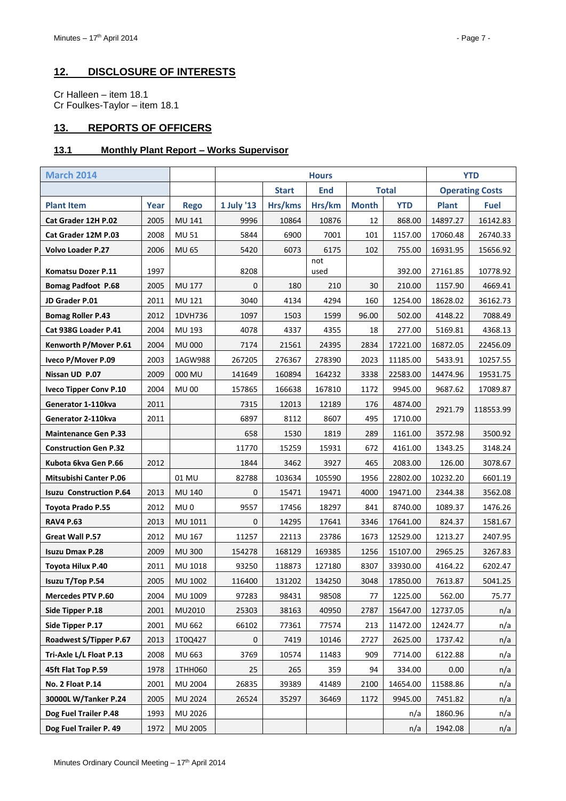### <span id="page-6-0"></span>**12. DISCLOSURE OF INTERESTS**

Cr Halleen – item 18.1 Cr Foulkes-Taylor – item 18.1

### <span id="page-6-1"></span>**13. REPORTS OF OFFICERS**

#### <span id="page-6-2"></span>**13.1 Monthly Plant Report – Works Supervisor**

| <b>March 2014</b>              |      |                 | <b>Hours</b> |              |             |              |              | <b>YTD</b>   |                        |
|--------------------------------|------|-----------------|--------------|--------------|-------------|--------------|--------------|--------------|------------------------|
|                                |      |                 |              | <b>Start</b> | <b>End</b>  |              | <b>Total</b> |              | <b>Operating Costs</b> |
| <b>Plant Item</b>              | Year | <b>Rego</b>     | 1 July '13   | Hrs/kms      | Hrs/km      | <b>Month</b> | <b>YTD</b>   | <b>Plant</b> | Fuel                   |
| Cat Grader 12H P.02            | 2005 | MU 141          | 9996         | 10864        | 10876       | 12           | 868.00       | 14897.27     | 16142.83               |
| Cat Grader 12M P.03            | 2008 | MU 51           | 5844         | 6900         | 7001        | 101          | 1157.00      | 17060.48     | 26740.33               |
| <b>Volvo Loader P.27</b>       | 2006 | <b>MU 65</b>    | 5420         | 6073         | 6175        | 102          | 755.00       | 16931.95     | 15656.92               |
| Komatsu Dozer P.11             | 1997 |                 | 8208         |              | not<br>used |              | 392.00       | 27161.85     | 10778.92               |
| <b>Bomag Padfoot P.68</b>      | 2005 | MU 177          | 0            | 180          | 210         | 30           | 210.00       | 1157.90      | 4669.41                |
| JD Grader P.01                 | 2011 | MU 121          | 3040         | 4134         | 4294        | 160          | 1254.00      | 18628.02     | 36162.73               |
| <b>Bomag Roller P.43</b>       | 2012 | 1DVH736         | 1097         | 1503         | 1599        | 96.00        | 502.00       | 4148.22      | 7088.49                |
| Cat 938G Loader P.41           | 2004 | MU 193          | 4078         | 4337         | 4355        | 18           | 277.00       | 5169.81      | 4368.13                |
| Kenworth P/Mover P.61          | 2004 | <b>MU 000</b>   | 7174         | 21561        | 24395       | 2834         | 17221.00     | 16872.05     | 22456.09               |
| Iveco P/Mover P.09             | 2003 | 1AGW988         | 267205       | 276367       | 278390      | 2023         | 11185.00     | 5433.91      | 10257.55               |
| Nissan UD P.07                 | 2009 | 000 MU          | 141649       | 160894       | 164232      | 3338         | 22583.00     | 14474.96     | 19531.75               |
| <b>Iveco Tipper Conv P.10</b>  | 2004 | <b>MU00</b>     | 157865       | 166638       | 167810      | 1172         | 9945.00      | 9687.62      | 17089.87               |
| Generator 1-110kva             | 2011 |                 | 7315         | 12013        | 12189       | 176          | 4874.00      | 2921.79      | 118553.99              |
| Generator 2-110kva             | 2011 |                 | 6897         | 8112         | 8607        | 495          | 1710.00      |              |                        |
| <b>Maintenance Gen P.33</b>    |      |                 | 658          | 1530         | 1819        | 289          | 1161.00      | 3572.98      | 3500.92                |
| <b>Construction Gen P.32</b>   |      |                 | 11770        | 15259        | 15931       | 672          | 4161.00      | 1343.25      | 3148.24                |
| Kubota 6kva Gen P.66           | 2012 |                 | 1844         | 3462         | 3927        | 465          | 2083.00      | 126.00       | 3078.67                |
| <b>Mitsubishi Canter P.06</b>  |      | 01 MU           | 82788        | 103634       | 105590      | 1956         | 22802.00     | 10232.20     | 6601.19                |
| <b>Isuzu Construction P.64</b> | 2013 | MU 140          | 0            | 15471        | 19471       | 4000         | 19471.00     | 2344.38      | 3562.08                |
| Toyota Prado P.55              | 2012 | MU <sub>0</sub> | 9557         | 17456        | 18297       | 841          | 8740.00      | 1089.37      | 1476.26                |
| <b>RAV4 P.63</b>               | 2013 | MU 1011         | 0            | 14295        | 17641       | 3346         | 17641.00     | 824.37       | 1581.67                |
| Great Wall P.57                | 2012 | MU 167          | 11257        | 22113        | 23786       | 1673         | 12529.00     | 1213.27      | 2407.95                |
| <b>Isuzu Dmax P.28</b>         | 2009 | <b>MU 300</b>   | 154278       | 168129       | 169385      | 1256         | 15107.00     | 2965.25      | 3267.83                |
| Toyota Hilux P.40              | 2011 | MU 1018         | 93250        | 118873       | 127180      | 8307         | 33930.00     | 4164.22      | 6202.47                |
| Isuzu T/Top P.54               | 2005 | MU 1002         | 116400       | 131202       | 134250      | 3048         | 17850.00     | 7613.87      | 5041.25                |
| <b>Mercedes PTV P.60</b>       | 2004 | MU 1009         | 97283        | 98431        | 98508       | 77           | 1225.00      | 562.00       | 75.77                  |
| Side Tipper P.18               | 2001 | MU2010          | 25303        | 38163        | 40950       | 2787         | 15647.00     | 12737.05     | n/a                    |
| Side Tipper P.17               | 2001 | MU 662          | 66102        | 77361        | 77574       | 213          | 11472.00     | 12424.77     | n/a                    |
| Roadwest S/Tipper P.67         | 2013 | 1T0Q427         | $\mathbf 0$  | 7419         | 10146       | 2727         | 2625.00      | 1737.42      | n/a                    |
| Tri-Axle L/L Float P.13        | 2008 | MU 663          | 3769         | 10574        | 11483       | 909          | 7714.00      | 6122.88      | n/a                    |
| 45ft Flat Top P.59             | 1978 | 1THH060         | 25           | 265          | 359         | 94           | 334.00       | 0.00         | n/a                    |
| No. 2 Float P.14               | 2001 | <b>MU 2004</b>  | 26835        | 39389        | 41489       | 2100         | 14654.00     | 11588.86     | n/a                    |
| 30000L W/Tanker P.24           | 2005 | MU 2024         | 26524        | 35297        | 36469       | 1172         | 9945.00      | 7451.82      | n/a                    |
| Dog Fuel Trailer P.48          | 1993 | MU 2026         |              |              |             |              | n/a          | 1860.96      | n/a                    |
| Dog Fuel Trailer P. 49         | 1972 | <b>MU 2005</b>  |              |              |             |              | n/a          | 1942.08      | n/a                    |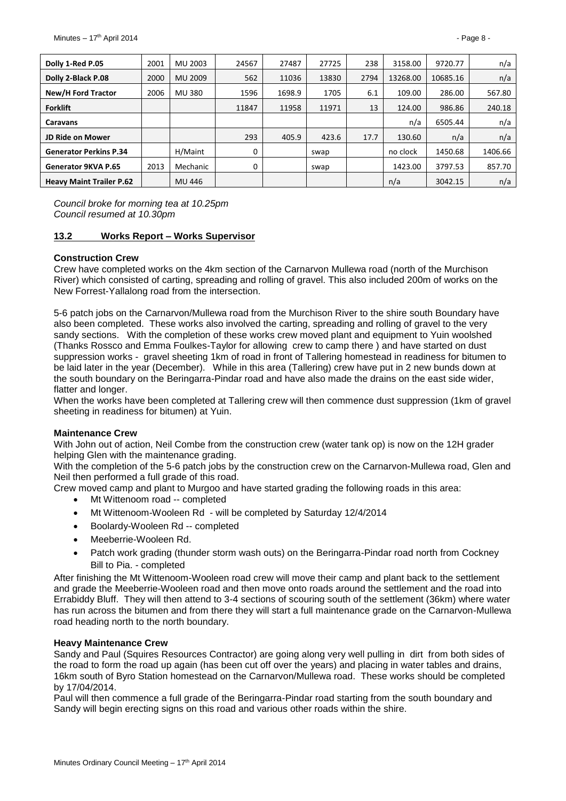| Dolly 1-Red P.05                | 2001 | MU 2003  | 24567 | 27487  | 27725 | 238  | 3158.00  | 9720.77  | n/a     |
|---------------------------------|------|----------|-------|--------|-------|------|----------|----------|---------|
| Dolly 2-Black P.08              | 2000 | MU 2009  | 562   | 11036  | 13830 | 2794 | 13268.00 | 10685.16 | n/a     |
| New/H Ford Tractor              | 2006 | MU 380   | 1596  | 1698.9 | 1705  | 6.1  | 109.00   | 286.00   | 567.80  |
| <b>Forklift</b>                 |      |          | 11847 | 11958  | 11971 | 13   | 124.00   | 986.86   | 240.18  |
| <b>Caravans</b>                 |      |          |       |        |       |      | n/a      | 6505.44  | n/a     |
| <b>JD Ride on Mower</b>         |      |          | 293   | 405.9  | 423.6 | 17.7 | 130.60   | n/a      | n/a     |
| <b>Generator Perkins P.34</b>   |      | H/Maint  | 0     |        | swap  |      | no clock | 1450.68  | 1406.66 |
| <b>Generator 9KVA P.65</b>      | 2013 | Mechanic | 0     |        | swap  |      | 1423.00  | 3797.53  | 857.70  |
| <b>Heavy Maint Trailer P.62</b> |      | MU 446   |       |        |       |      | n/a      | 3042.15  | n/a     |

*Council broke for morning tea at 10.25pm Council resumed at 10.30pm*

#### <span id="page-7-0"></span>**13.2 Works Report – Works Supervisor**

#### **Construction Crew**

Crew have completed works on the 4km section of the Carnarvon Mullewa road (north of the Murchison River) which consisted of carting, spreading and rolling of gravel. This also included 200m of works on the New Forrest-Yallalong road from the intersection.

5-6 patch jobs on the Carnarvon/Mullewa road from the Murchison River to the shire south Boundary have also been completed. These works also involved the carting, spreading and rolling of gravel to the very sandy sections. With the completion of these works crew moved plant and equipment to Yuin woolshed (Thanks Rossco and Emma Foulkes-Taylor for allowing crew to camp there ) and have started on dust suppression works - gravel sheeting 1km of road in front of Tallering homestead in readiness for bitumen to be laid later in the year (December). While in this area (Tallering) crew have put in 2 new bunds down at the south boundary on the Beringarra-Pindar road and have also made the drains on the east side wider, flatter and longer.

When the works have been completed at Tallering crew will then commence dust suppression (1km of gravel sheeting in readiness for bitumen) at Yuin.

#### **Maintenance Crew**

With John out of action, Neil Combe from the construction crew (water tank op) is now on the 12H grader helping Glen with the maintenance grading.

With the completion of the 5-6 patch jobs by the construction crew on the Carnaryon-Mullewa road. Glen and Neil then performed a full grade of this road.

Crew moved camp and plant to Murgoo and have started grading the following roads in this area:

- Mt Wittenoom road -- completed
- Mt Wittenoom-Wooleen Rd will be completed by Saturday 12/4/2014
- Boolardy-Wooleen Rd -- completed
- Meeberrie-Wooleen Rd.
- Patch work grading (thunder storm wash outs) on the Beringarra-Pindar road north from Cockney Bill to Pia. - completed

After finishing the Mt Wittenoom-Wooleen road crew will move their camp and plant back to the settlement and grade the Meeberrie-Wooleen road and then move onto roads around the settlement and the road into Errabiddy Bluff. They will then attend to 3-4 sections of scouring south of the settlement (36km) where water has run across the bitumen and from there they will start a full maintenance grade on the Carnarvon-Mullewa road heading north to the north boundary.

#### **Heavy Maintenance Crew**

Sandy and Paul (Squires Resources Contractor) are going along very well pulling in dirt from both sides of the road to form the road up again (has been cut off over the years) and placing in water tables and drains, 16km south of Byro Station homestead on the Carnarvon/Mullewa road. These works should be completed by 17/04/2014.

Paul will then commence a full grade of the Beringarra-Pindar road starting from the south boundary and Sandy will begin erecting signs on this road and various other roads within the shire.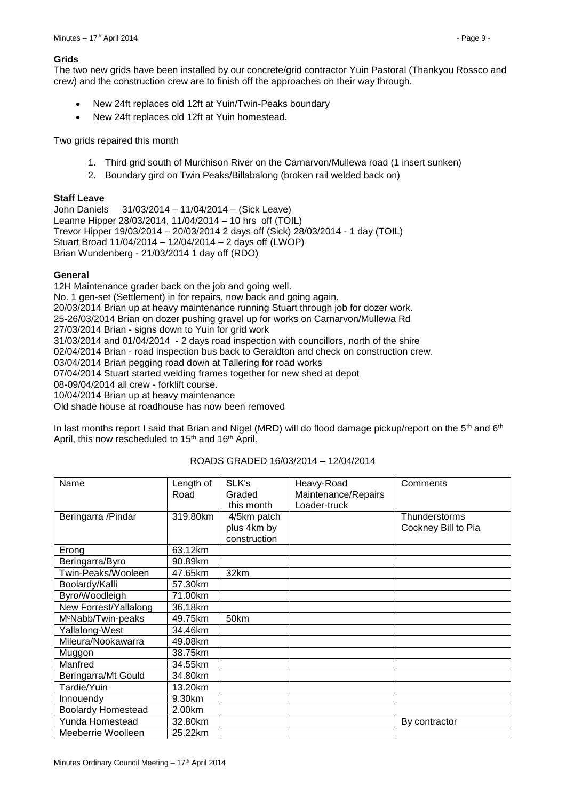#### **Grids**

The two new grids have been installed by our concrete/grid contractor Yuin Pastoral (Thankyou Rossco and crew) and the construction crew are to finish off the approaches on their way through.

- New 24ft replaces old 12ft at Yuin/Twin-Peaks boundary
- New 24ft replaces old 12ft at Yuin homestead.

Two grids repaired this month

- 1. Third grid south of Murchison River on the Carnarvon/Mullewa road (1 insert sunken)
- 2. Boundary gird on Twin Peaks/Billabalong (broken rail welded back on)

#### **Staff Leave**

John Daniels 31/03/2014 – 11/04/2014 – (Sick Leave) Leanne Hipper 28/03/2014, 11/04/2014 – 10 hrs off (TOIL) Trevor Hipper 19/03/2014 – 20/03/2014 2 days off (Sick) 28/03/2014 - 1 day (TOIL) Stuart Broad 11/04/2014 – 12/04/2014 – 2 days off (LWOP) Brian Wundenberg - 21/03/2014 1 day off (RDO)

#### **General**

12H Maintenance grader back on the job and going well. No. 1 gen-set (Settlement) in for repairs, now back and going again. 20/03/2014 Brian up at heavy maintenance running Stuart through job for dozer work. 25-26/03/2014 Brian on dozer pushing gravel up for works on Carnarvon/Mullewa Rd 27/03/2014 Brian - signs down to Yuin for grid work 31/03/2014 and 01/04/2014 - 2 days road inspection with councillors, north of the shire 02/04/2014 Brian - road inspection bus back to Geraldton and check on construction crew. 03/04/2014 Brian pegging road down at Tallering for road works 07/04/2014 Stuart started welding frames together for new shed at depot 08-09/04/2014 all crew - forklift course. 10/04/2014 Brian up at heavy maintenance Old shade house at roadhouse has now been removed

In last months report I said that Brian and Nigel (MRD) will do flood damage pickup/report on the 5<sup>th</sup> and 6<sup>th</sup> April, this now rescheduled to 15<sup>th</sup> and 16<sup>th</sup> April.

| Name                           | Length of | SLK's        | Heavy-Road          | Comments            |
|--------------------------------|-----------|--------------|---------------------|---------------------|
|                                | Road      | Graded       | Maintenance/Repairs |                     |
|                                |           | this month   | Loader-truck        |                     |
| Beringarra /Pindar             | 319.80km  | 4/5km patch  |                     | Thunderstorms       |
|                                |           | plus 4km by  |                     | Cockney Bill to Pia |
|                                |           | construction |                     |                     |
| Erong                          | 63.12km   |              |                     |                     |
| Beringarra/Byro                | 90.89km   |              |                     |                     |
| Twin-Peaks/Wooleen             | 47.65km   | 32km         |                     |                     |
| Boolardy/Kalli                 | 57.30km   |              |                     |                     |
| Byro/Woodleigh                 | 71.00km   |              |                     |                     |
| New Forrest/Yallalong          | 36.18km   |              |                     |                     |
| M <sup>c</sup> Nabb/Twin-peaks | 49.75km   | 50km         |                     |                     |
| Yallalong-West                 | 34.46km   |              |                     |                     |
| Mileura/Nookawarra             | 49.08km   |              |                     |                     |
| Muggon                         | 38.75km   |              |                     |                     |
| Manfred                        | 34.55km   |              |                     |                     |
| Beringarra/Mt Gould            | 34.80km   |              |                     |                     |
| Tardie/Yuin                    | 13.20km   |              |                     |                     |
| Innouendy                      | 9.30km    |              |                     |                     |
| <b>Boolardy Homestead</b>      | 2.00km    |              |                     |                     |
| Yunda Homestead                | 32.80km   |              |                     | By contractor       |
| Meeberrie Woolleen             | 25.22km   |              |                     |                     |

#### ROADS GRADED 16/03/2014 – 12/04/2014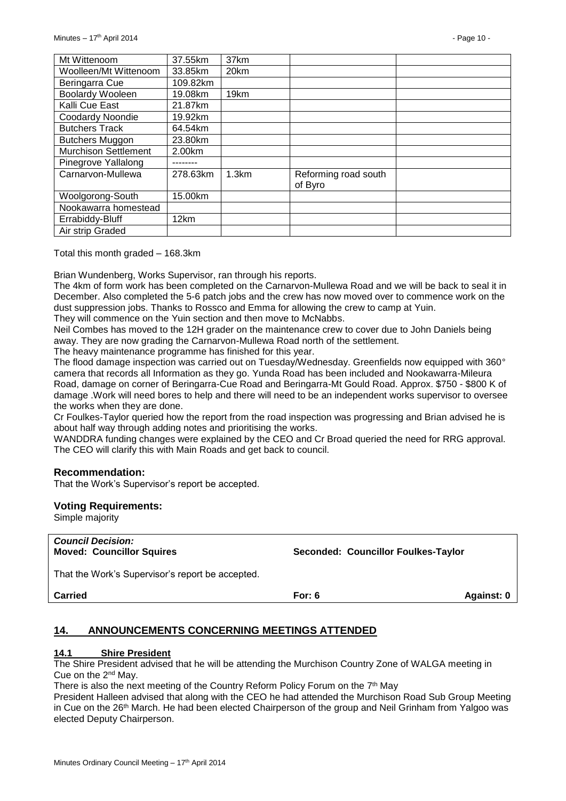| Mt Wittenoom                | 37.55km  | 37km  |                                 |  |
|-----------------------------|----------|-------|---------------------------------|--|
| Woolleen/Mt Wittenoom       | 33.85km  | 20km  |                                 |  |
| Beringarra Cue              | 109.82km |       |                                 |  |
| Boolardy Wooleen            | 19.08km  | 19km  |                                 |  |
| Kalli Cue East              | 21.87km  |       |                                 |  |
| Coodardy Noondie            | 19.92km  |       |                                 |  |
| <b>Butchers Track</b>       | 64.54km  |       |                                 |  |
| <b>Butchers Muggon</b>      | 23.80km  |       |                                 |  |
| <b>Murchison Settlement</b> | 2.00km   |       |                                 |  |
| Pinegrove Yallalong         |          |       |                                 |  |
| Carnarvon-Mullewa           | 278.63km | 1.3km | Reforming road south<br>of Byro |  |
| Woolgorong-South            | 15.00km  |       |                                 |  |
| Nookawarra homestead        |          |       |                                 |  |
| Errabiddy-Bluff             | 12km     |       |                                 |  |
| Air strip Graded            |          |       |                                 |  |

Total this month graded – 168.3km

Brian Wundenberg, Works Supervisor, ran through his reports.

The 4km of form work has been completed on the Carnarvon-Mullewa Road and we will be back to seal it in December. Also completed the 5-6 patch jobs and the crew has now moved over to commence work on the dust suppression jobs. Thanks to Rossco and Emma for allowing the crew to camp at Yuin.

They will commence on the Yuin section and then move to McNabbs.

Neil Combes has moved to the 12H grader on the maintenance crew to cover due to John Daniels being away. They are now grading the Carnarvon-Mullewa Road north of the settlement.

The heavy maintenance programme has finished for this year.

The flood damage inspection was carried out on Tuesday/Wednesday. Greenfields now equipped with 360° camera that records all Information as they go. Yunda Road has been included and Nookawarra-Mileura Road, damage on corner of Beringarra-Cue Road and Beringarra-Mt Gould Road. Approx. \$750 - \$800 K of damage .Work will need bores to help and there will need to be an independent works supervisor to oversee the works when they are done.

Cr Foulkes-Taylor queried how the report from the road inspection was progressing and Brian advised he is about half way through adding notes and prioritising the works.

WANDDRA funding changes were explained by the CEO and Cr Broad queried the need for RRG approval. The CEO will clarify this with Main Roads and get back to council.

#### **Recommendation:**

That the Work's Supervisor's report be accepted.

#### **Voting Requirements:**

Simple majority

| <b>Council Decision:</b><br><b>Moved: Councillor Squires</b> | Seconded: Councillor Foulkes-Taylor |
|--------------------------------------------------------------|-------------------------------------|
| That the Work's Supervisor's report be accepted.             |                                     |

**Carried For: 6 Against: 0**

#### <span id="page-9-0"></span>**14. ANNOUNCEMENTS CONCERNING MEETINGS ATTENDED**

#### <span id="page-9-1"></span>**14.1 Shire President**

The Shire President advised that he will be attending the Murchison Country Zone of WALGA meeting in Cue on the 2nd May.

There is also the next meeting of the Country Reform Policy Forum on the  $7<sup>th</sup>$  May

President Halleen advised that along with the CEO he had attended the Murchison Road Sub Group Meeting in Cue on the 26th March. He had been elected Chairperson of the group and Neil Grinham from Yalgoo was elected Deputy Chairperson.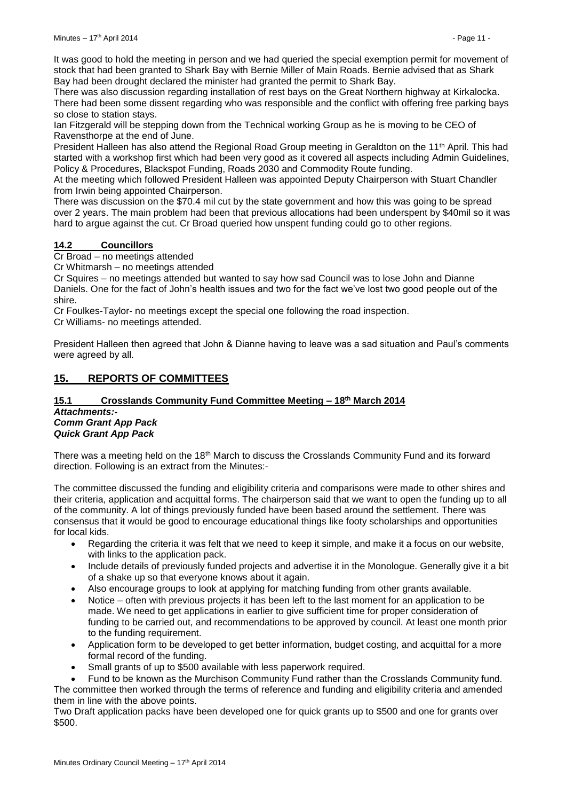It was good to hold the meeting in person and we had queried the special exemption permit for movement of stock that had been granted to Shark Bay with Bernie Miller of Main Roads. Bernie advised that as Shark Bay had been drought declared the minister had granted the permit to Shark Bay.

There was also discussion regarding installation of rest bays on the Great Northern highway at Kirkalocka. There had been some dissent regarding who was responsible and the conflict with offering free parking bays so close to station stays.

Ian Fitzgerald will be stepping down from the Technical working Group as he is moving to be CEO of Ravensthorpe at the end of June.

President Halleen has also attend the Regional Road Group meeting in Geraldton on the 11<sup>th</sup> April. This had started with a workshop first which had been very good as it covered all aspects including Admin Guidelines, Policy & Procedures, Blackspot Funding, Roads 2030 and Commodity Route funding.

At the meeting which followed President Halleen was appointed Deputy Chairperson with Stuart Chandler from Irwin being appointed Chairperson.

There was discussion on the \$70.4 mil cut by the state government and how this was going to be spread over 2 years. The main problem had been that previous allocations had been underspent by \$40mil so it was hard to argue against the cut. Cr Broad queried how unspent funding could go to other regions.

#### <span id="page-10-0"></span>**14.2 Councillors**

Cr Broad – no meetings attended

Cr Whitmarsh – no meetings attended

Cr Squires – no meetings attended but wanted to say how sad Council was to lose John and Dianne Daniels. One for the fact of John's health issues and two for the fact we've lost two good people out of the shire.

Cr Foulkes-Taylor- no meetings except the special one following the road inspection. Cr Williams- no meetings attended.

President Halleen then agreed that John & Dianne having to leave was a sad situation and Paul's comments were agreed by all.

#### <span id="page-10-1"></span>**15. REPORTS OF COMMITTEES**

#### <span id="page-10-2"></span>**15.1 Crosslands Community Fund Committee Meeting – 18th March 2014** *Attachments:- Comm Grant App Pack*

# *Quick Grant App Pack*

There was a meeting held on the 18<sup>th</sup> March to discuss the Crosslands Community Fund and its forward direction. Following is an extract from the Minutes:-

The committee discussed the funding and eligibility criteria and comparisons were made to other shires and their criteria, application and acquittal forms. The chairperson said that we want to open the funding up to all of the community. A lot of things previously funded have been based around the settlement. There was consensus that it would be good to encourage educational things like footy scholarships and opportunities for local kids.

- Regarding the criteria it was felt that we need to keep it simple, and make it a focus on our website, with links to the application pack.
- Include details of previously funded projects and advertise it in the Monologue. Generally give it a bit of a shake up so that everyone knows about it again.
- Also encourage groups to look at applying for matching funding from other grants available.
- Notice often with previous projects it has been left to the last moment for an application to be made. We need to get applications in earlier to give sufficient time for proper consideration of funding to be carried out, and recommendations to be approved by council. At least one month prior to the funding requirement.
- Application form to be developed to get better information, budget costing, and acquittal for a more formal record of the funding.
- Small grants of up to \$500 available with less paperwork required.
- Fund to be known as the Murchison Community Fund rather than the Crosslands Community fund. The committee then worked through the terms of reference and funding and eligibility criteria and amended them in line with the above points.

Two Draft application packs have been developed one for quick grants up to \$500 and one for grants over \$500.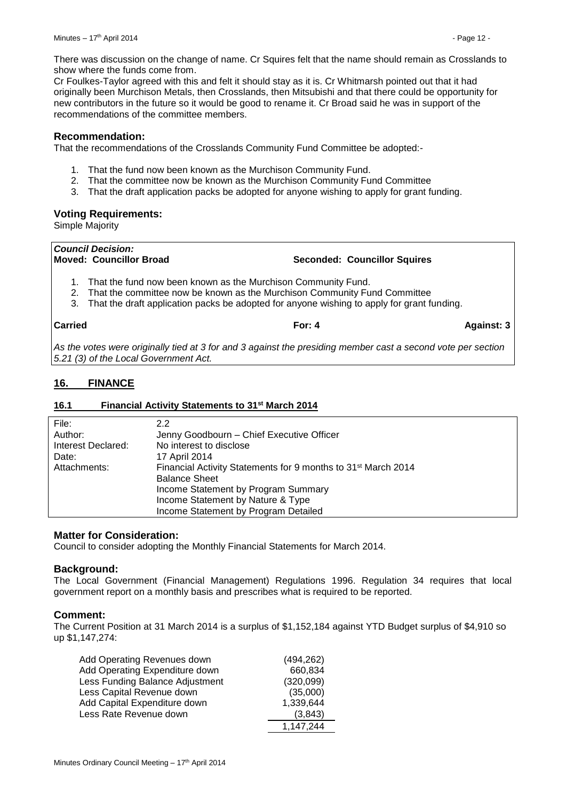There was discussion on the change of name. Cr Squires felt that the name should remain as Crosslands to show where the funds come from.

Cr Foulkes-Taylor agreed with this and felt it should stay as it is. Cr Whitmarsh pointed out that it had originally been Murchison Metals, then Crosslands, then Mitsubishi and that there could be opportunity for new contributors in the future so it would be good to rename it. Cr Broad said he was in support of the recommendations of the committee members.

#### **Recommendation:**

That the recommendations of the Crosslands Community Fund Committee be adopted:-

- 1. That the fund now been known as the Murchison Community Fund.
- 2. That the committee now be known as the Murchison Community Fund Committee
- 3. That the draft application packs be adopted for anyone wishing to apply for grant funding.

#### **Voting Requirements:**

Simple Majority

# *Council Decision:*

**Moved: Councillor Broad Seconded: Councillor Squires**

- 1. That the fund now been known as the Murchison Community Fund.
- 2. That the committee now be known as the Murchison Community Fund Committee
- 3. That the draft application packs be adopted for anyone wishing to apply for grant funding.

**Carried For: 4 Against: 3**

*As the votes were originally tied at 3 for and 3 against the presiding member cast a second vote per section 5.21 (3) of the Local Government Act.*

#### <span id="page-11-0"></span>**16. FINANCE**

#### <span id="page-11-1"></span>**16.1 Financial Activity Statements to 31st March 2014**

| File:              | 2.2                                                                       |
|--------------------|---------------------------------------------------------------------------|
| Author:            | Jenny Goodbourn - Chief Executive Officer                                 |
| Interest Declared: | No interest to disclose                                                   |
| Date:              | 17 April 2014                                                             |
| Attachments:       | Financial Activity Statements for 9 months to 31 <sup>st</sup> March 2014 |
|                    | <b>Balance Sheet</b>                                                      |
|                    | Income Statement by Program Summary                                       |
|                    | Income Statement by Nature & Type                                         |
|                    | Income Statement by Program Detailed                                      |

#### **Matter for Consideration:**

Council to consider adopting the Monthly Financial Statements for March 2014.

#### **Background:**

The Local Government (Financial Management) Regulations 1996. Regulation 34 requires that local government report on a monthly basis and prescribes what is required to be reported.

#### **Comment:**

The Current Position at 31 March 2014 is a surplus of \$1,152,184 against YTD Budget surplus of \$4,910 so up \$1,147,274:

| Add Operating Revenues down     | (494, 262) |
|---------------------------------|------------|
| Add Operating Expenditure down  | 660,834    |
| Less Funding Balance Adjustment | (320,099)  |
| Less Capital Revenue down       | (35,000)   |
| Add Capital Expenditure down    | 1,339,644  |
| Less Rate Revenue down          | (3.843)    |
|                                 | 1,147,244  |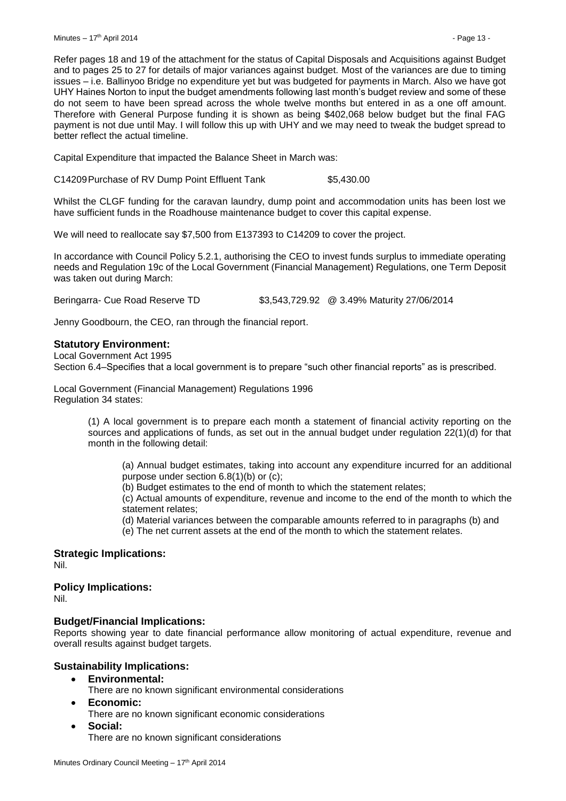Refer pages 18 and 19 of the attachment for the status of Capital Disposals and Acquisitions against Budget and to pages 25 to 27 for details of major variances against budget. Most of the variances are due to timing issues – i.e. Ballinyoo Bridge no expenditure yet but was budgeted for payments in March. Also we have got UHY Haines Norton to input the budget amendments following last month's budget review and some of these do not seem to have been spread across the whole twelve months but entered in as a one off amount. Therefore with General Purpose funding it is shown as being \$402,068 below budget but the final FAG payment is not due until May. I will follow this up with UHY and we may need to tweak the budget spread to better reflect the actual timeline.

Capital Expenditure that impacted the Balance Sheet in March was:

C14209Purchase of RV Dump Point Effluent Tank \$5,430.00

Whilst the CLGF funding for the caravan laundry, dump point and accommodation units has been lost we have sufficient funds in the Roadhouse maintenance budget to cover this capital expense.

We will need to reallocate say \$7,500 from E137393 to C14209 to cover the project.

In accordance with Council Policy 5.2.1, authorising the CEO to invest funds surplus to immediate operating needs and Regulation 19c of the Local Government (Financial Management) Regulations, one Term Deposit was taken out during March:

Beringarra- Cue Road Reserve TD \$3,543,729.92 @ 3.49% Maturity 27/06/2014

Jenny Goodbourn, the CEO, ran through the financial report.

#### **Statutory Environment:**

Local Government Act 1995 Section 6.4–Specifies that a local government is to prepare "such other financial reports" as is prescribed.

Local Government (Financial Management) Regulations 1996 Regulation 34 states:

> (1) A local government is to prepare each month a statement of financial activity reporting on the sources and applications of funds, as set out in the annual budget under regulation 22(1)(d) for that month in the following detail:

(a) Annual budget estimates, taking into account any expenditure incurred for an additional purpose under section 6.8(1)(b) or (c);

(b) Budget estimates to the end of month to which the statement relates;

(c) Actual amounts of expenditure, revenue and income to the end of the month to which the statement relates;

(d) Material variances between the comparable amounts referred to in paragraphs (b) and

(e) The net current assets at the end of the month to which the statement relates.

**Strategic Implications:** Nil.

**Policy Implications:**

Nil.

#### **Budget/Financial Implications:**

Reports showing year to date financial performance allow monitoring of actual expenditure, revenue and overall results against budget targets.

#### **Sustainability Implications:**

- **Environmental:**
	- There are no known significant environmental considerations
- **Economic:**
	- There are no known significant economic considerations
- **Social:**

There are no known significant considerations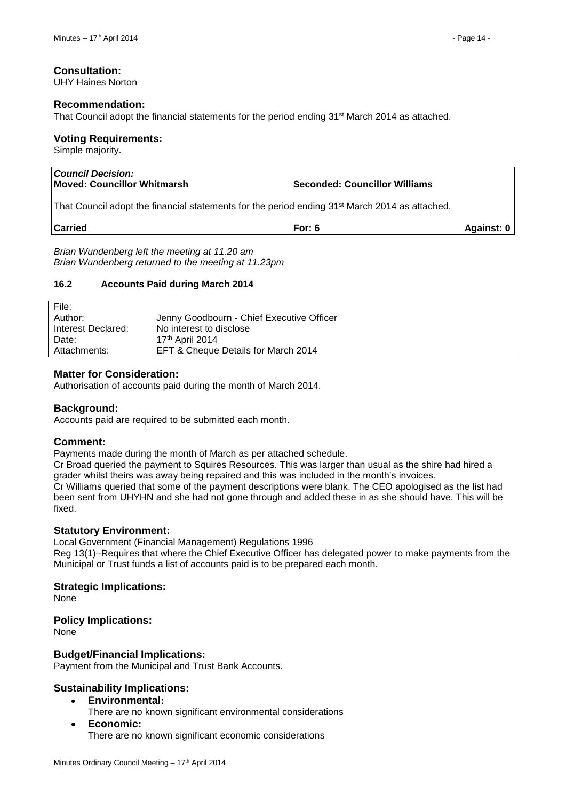#### **Consultation:**

UHY Haines Norton

#### **Recommendation:**

That Council adopt the financial statements for the period ending 31st March 2014 as attached.

#### **Voting Requirements:**

Simple majority.

| <b>Council Decision:</b><br>Moved: Councillor Whitmarsh                                                    | <b>Seconded: Councillor Williams</b> |            |
|------------------------------------------------------------------------------------------------------------|--------------------------------------|------------|
| That Council adopt the financial statements for the period ending 31 <sup>st</sup> March 2014 as attached. |                                      |            |
| <b>Carried</b>                                                                                             | For: $6$                             | Against: 0 |
| Brian Wundenberg left the meeting at 11.20 am                                                              |                                      |            |

#### <span id="page-13-0"></span>**16.2 Accounts Paid during March 2014**

| File:              |                                           |
|--------------------|-------------------------------------------|
| Author:            | Jenny Goodbourn - Chief Executive Officer |
| Interest Declared: | No interest to disclose                   |
| Date:              | 17 <sup>th</sup> April 2014               |
| Attachments:       | EFT & Cheque Details for March 2014       |

#### **Matter for Consideration:**

Authorisation of accounts paid during the month of March 2014.

#### **Background:**

Accounts paid are required to be submitted each month.

#### **Comment:**

Payments made during the month of March as per attached schedule.

Cr Broad queried the payment to Squires Resources. This was larger than usual as the shire had hired a grader whilst theirs was away being repaired and this was included in the month's invoices. Cr Williams queried that some of the payment descriptions were blank. The CEO apologised as the list had

been sent from UHYHN and she had not gone through and added these in as she should have. This will be fixed.

#### **Statutory Environment:**

Local Government (Financial Management) Regulations 1996

Reg 13(1)–Requires that where the Chief Executive Officer has delegated power to make payments from the Municipal or Trust funds a list of accounts paid is to be prepared each month.

#### **Strategic Implications:**

None

#### **Policy Implications:**

None

#### **Budget/Financial Implications:**

Payment from the Municipal and Trust Bank Accounts.

#### **Sustainability Implications:**

- **Environmental:**
	- There are no known significant environmental considerations
- **Economic:**

There are no known significant economic considerations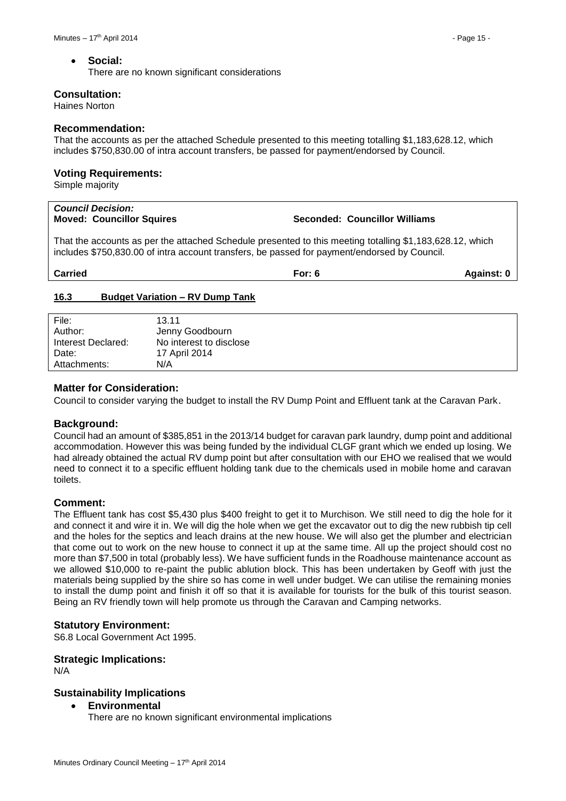#### **Social:**

There are no known significant considerations

#### **Consultation:**

Haines Norton

#### **Recommendation:**

That the accounts as per the attached Schedule presented to this meeting totalling \$1,183,628.12, which includes \$750,830.00 of intra account transfers, be passed for payment/endorsed by Council.

#### **Voting Requirements:**

Simple majority

| <b>Council Decision:</b><br><b>Moved: Councillor Squires</b>                                                                                                                                             | Seconded: Councillor Williams |            |
|----------------------------------------------------------------------------------------------------------------------------------------------------------------------------------------------------------|-------------------------------|------------|
| That the accounts as per the attached Schedule presented to this meeting totalling \$1,183,628.12, which<br>includes \$750,830.00 of intra account transfers, be passed for payment/endorsed by Council. |                               |            |
| <b>Carried</b>                                                                                                                                                                                           | For: $6$                      | Against: 0 |

#### <span id="page-14-0"></span>**16.3 Budget Variation – RV Dump Tank**

| File:              | 13.11                   |
|--------------------|-------------------------|
| Author:            | Jenny Goodbourn         |
| Interest Declared: | No interest to disclose |
| Date:              | 17 April 2014           |
| Attachments:       | N/A                     |

#### **Matter for Consideration:**

Council to consider varying the budget to install the RV Dump Point and Effluent tank at the Caravan Park.

#### **Background:**

Council had an amount of \$385,851 in the 2013/14 budget for caravan park laundry, dump point and additional accommodation. However this was being funded by the individual CLGF grant which we ended up losing. We had already obtained the actual RV dump point but after consultation with our EHO we realised that we would need to connect it to a specific effluent holding tank due to the chemicals used in mobile home and caravan toilets.

#### **Comment:**

The Effluent tank has cost \$5,430 plus \$400 freight to get it to Murchison. We still need to dig the hole for it and connect it and wire it in. We will dig the hole when we get the excavator out to dig the new rubbish tip cell and the holes for the septics and leach drains at the new house. We will also get the plumber and electrician that come out to work on the new house to connect it up at the same time. All up the project should cost no more than \$7,500 in total (probably less). We have sufficient funds in the Roadhouse maintenance account as we allowed \$10,000 to re-paint the public ablution block. This has been undertaken by Geoff with just the materials being supplied by the shire so has come in well under budget. We can utilise the remaining monies to install the dump point and finish it off so that it is available for tourists for the bulk of this tourist season. Being an RV friendly town will help promote us through the Caravan and Camping networks.

#### **Statutory Environment:**

S6.8 Local Government Act 1995.

#### **Strategic Implications:**

N/A

#### **Sustainability Implications**

**Environmental**

There are no known significant environmental implications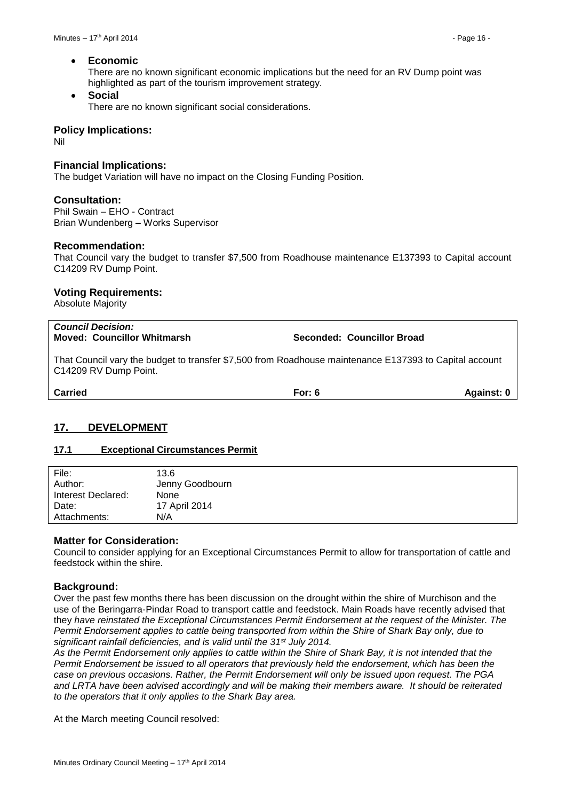#### **Economic**

There are no known significant economic implications but the need for an RV Dump point was highlighted as part of the tourism improvement strategy.

#### **Social**

There are no known significant social considerations.

#### **Policy Implications:**

Nil

#### **Financial Implications:**

The budget Variation will have no impact on the Closing Funding Position.

#### **Consultation:**

Phil Swain – EHO - Contract Brian Wundenberg – Works Supervisor

#### **Recommendation:**

That Council vary the budget to transfer \$7,500 from Roadhouse maintenance E137393 to Capital account C14209 RV Dump Point.

#### **Voting Requirements:**

Absolute Majority

| <b>Council Decision:</b><br><b>Moved: Councillor Whitmarsh</b>                                                                  | Seconded: Councillor Broad |            |
|---------------------------------------------------------------------------------------------------------------------------------|----------------------------|------------|
| That Council vary the budget to transfer \$7,500 from Roadhouse maintenance E137393 to Capital account<br>C14209 RV Dump Point. |                            |            |
| <b>Carried</b>                                                                                                                  | For: $6$                   | Against: 0 |

#### <span id="page-15-0"></span>**17. DEVELOPMENT**

#### <span id="page-15-1"></span>**17.1 Exceptional Circumstances Permit**

| File:              | 13.6            |
|--------------------|-----------------|
| Author:            | Jenny Goodbourn |
| Interest Declared: | <b>None</b>     |
| Date:              | 17 April 2014   |
| Attachments:       | N/A             |
|                    |                 |

#### **Matter for Consideration:**

Council to consider applying for an Exceptional Circumstances Permit to allow for transportation of cattle and feedstock within the shire.

#### **Background:**

Over the past few months there has been discussion on the drought within the shire of Murchison and the use of the Beringarra-Pindar Road to transport cattle and feedstock. Main Roads have recently advised that they *have reinstated the Exceptional Circumstances Permit Endorsement at the request of the Minister. The Permit Endorsement applies to cattle being transported from within the Shire of Shark Bay only, due to significant rainfall deficiencies, and is valid until the 31st July 2014.* 

*As the Permit Endorsement only applies to cattle within the Shire of Shark Bay, it is not intended that the Permit Endorsement be issued to all operators that previously held the endorsement, which has been the case on previous occasions. Rather, the Permit Endorsement will only be issued upon request. The PGA and LRTA have been advised accordingly and will be making their members aware. It should be reiterated to the operators that it only applies to the Shark Bay area.* 

At the March meeting Council resolved: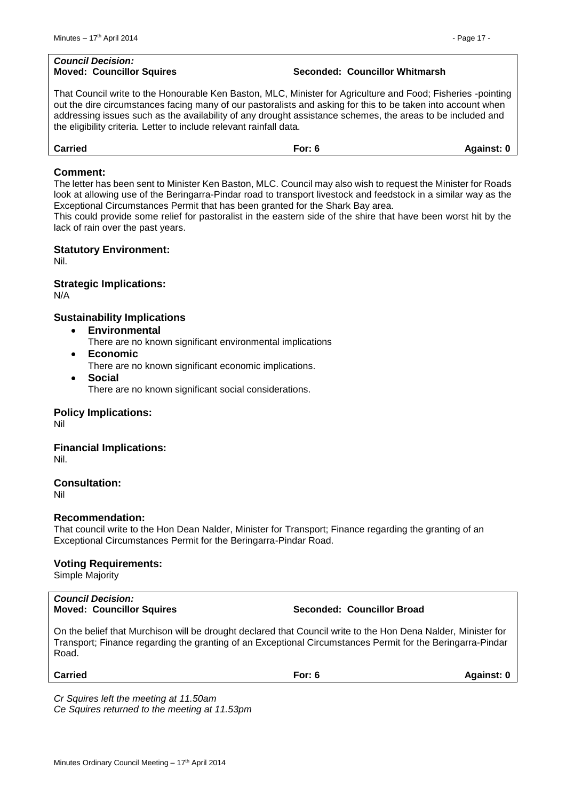# *Council Decision:*

#### **Moved: Councillor Squires Seconded: Councillor Whitmarsh**

That Council write to the Honourable Ken Baston, MLC, Minister for Agriculture and Food; Fisheries -pointing out the dire circumstances facing many of our pastoralists and asking for this to be taken into account when addressing issues such as the availability of any drought assistance schemes, the areas to be included and the eligibility criteria. Letter to include relevant rainfall data.

| <b>Carried</b> | <i>≓</i> or∵<br><u>.</u> v | <b>Against: C</b> |
|----------------|----------------------------|-------------------|
|                |                            |                   |

#### **Comment:**

The letter has been sent to Minister Ken Baston, MLC. Council may also wish to request the Minister for Roads look at allowing use of the Beringarra-Pindar road to transport livestock and feedstock in a similar way as the Exceptional Circumstances Permit that has been granted for the Shark Bay area.

This could provide some relief for pastoralist in the eastern side of the shire that have been worst hit by the lack of rain over the past years.

#### **Statutory Environment:**

Nil.

#### **Strategic Implications:**

N/A

#### **Sustainability Implications**

- **Environmental**
	- There are no known significant environmental implications
- **Economic**
	- There are no known significant economic implications.
- **Social** There are no known significant social considerations.

#### **Policy Implications:**

Nil

#### **Financial Implications:**

Nil.

#### **Consultation:**

Nil

#### **Recommendation:**

That council write to the Hon Dean Nalder, Minister for Transport; Finance regarding the granting of an Exceptional Circumstances Permit for the Beringarra-Pindar Road.

#### **Voting Requirements:**

Simple Majority

| <b>Council Decision:</b>         |
|----------------------------------|
| <b>Moved: Councillor Squires</b> |

 $Seconded:$  **Councillor Broad** 

On the belief that Murchison will be drought declared that Council write to the Hon Dena Nalder, Minister for Transport; Finance regarding the granting of an Exceptional Circumstances Permit for the Beringarra-Pindar Road.

| <b>Carried</b> | For: $6$ | Against: 0 |
|----------------|----------|------------|
|                |          |            |

*Cr Squires left the meeting at 11.50am Ce Squires returned to the meeting at 11.53pm*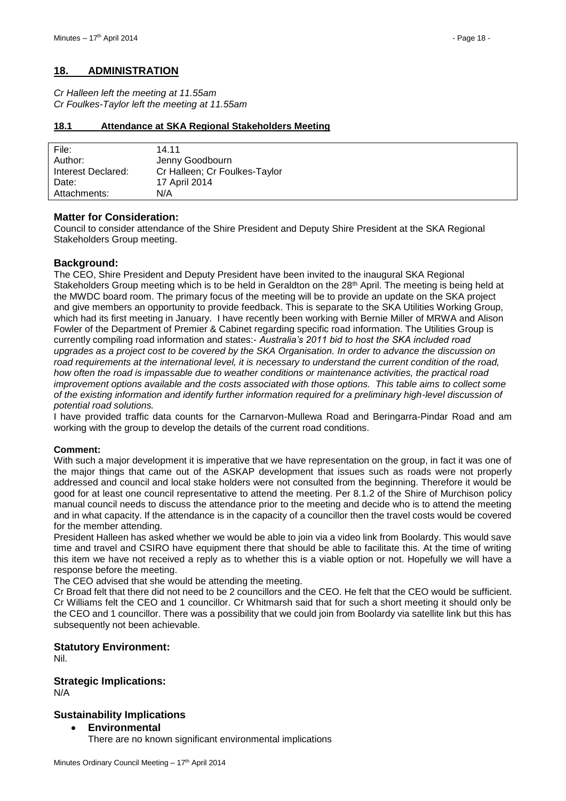#### <span id="page-17-0"></span>**18. ADMINISTRATION**

*Cr Halleen left the meeting at 11.55am Cr Foulkes-Taylor left the meeting at 11.55am*

#### <span id="page-17-1"></span>**18.1 Attendance at SKA Regional Stakeholders Meeting**

| File:              | 14 11                         |
|--------------------|-------------------------------|
| Author:            | Jenny Goodbourn               |
| Interest Declared: | Cr Halleen; Cr Foulkes-Taylor |
| Date:              | 17 April 2014                 |
| Attachments:       | N/A                           |

#### **Matter for Consideration:**

Council to consider attendance of the Shire President and Deputy Shire President at the SKA Regional Stakeholders Group meeting.

#### **Background:**

The CEO, Shire President and Deputy President have been invited to the inaugural SKA Regional Stakeholders Group meeting which is to be held in Geraldton on the 28<sup>th</sup> April. The meeting is being held at the MWDC board room. The primary focus of the meeting will be to provide an update on the SKA project and give members an opportunity to provide feedback. This is separate to the SKA Utilities Working Group, which had its first meeting in January. I have recently been working with Bernie Miller of MRWA and Alison Fowler of the Department of Premier & Cabinet regarding specific road information. The Utilities Group is currently compiling road information and states:- *Australia's 2011 bid to host the SKA included road upgrades as a project cost to be covered by the SKA Organisation. In order to advance the discussion on road requirements at the international level, it is necessary to understand the current condition of the road, how often the road is impassable due to weather conditions or maintenance activities, the practical road improvement options available and the costs associated with those options. This table aims to collect some of the existing information and identify further information required for a preliminary high-level discussion of potential road solutions.* 

I have provided traffic data counts for the Carnarvon-Mullewa Road and Beringarra-Pindar Road and am working with the group to develop the details of the current road conditions.

#### **Comment:**

With such a major development it is imperative that we have representation on the group, in fact it was one of the major things that came out of the ASKAP development that issues such as roads were not properly addressed and council and local stake holders were not consulted from the beginning. Therefore it would be good for at least one council representative to attend the meeting. Per 8.1.2 of the Shire of Murchison policy manual council needs to discuss the attendance prior to the meeting and decide who is to attend the meeting and in what capacity. If the attendance is in the capacity of a councillor then the travel costs would be covered for the member attending.

President Halleen has asked whether we would be able to join via a video link from Boolardy. This would save time and travel and CSIRO have equipment there that should be able to facilitate this. At the time of writing this item we have not received a reply as to whether this is a viable option or not. Hopefully we will have a response before the meeting.

The CEO advised that she would be attending the meeting.

Cr Broad felt that there did not need to be 2 councillors and the CEO. He felt that the CEO would be sufficient. Cr Williams felt the CEO and 1 councillor. Cr Whitmarsh said that for such a short meeting it should only be the CEO and 1 councillor. There was a possibility that we could join from Boolardy via satellite link but this has subsequently not been achievable.

#### **Statutory Environment:**

Nil.

#### **Strategic Implications:**

N/A

#### **Sustainability Implications**

- **Environmental**
	- There are no known significant environmental implications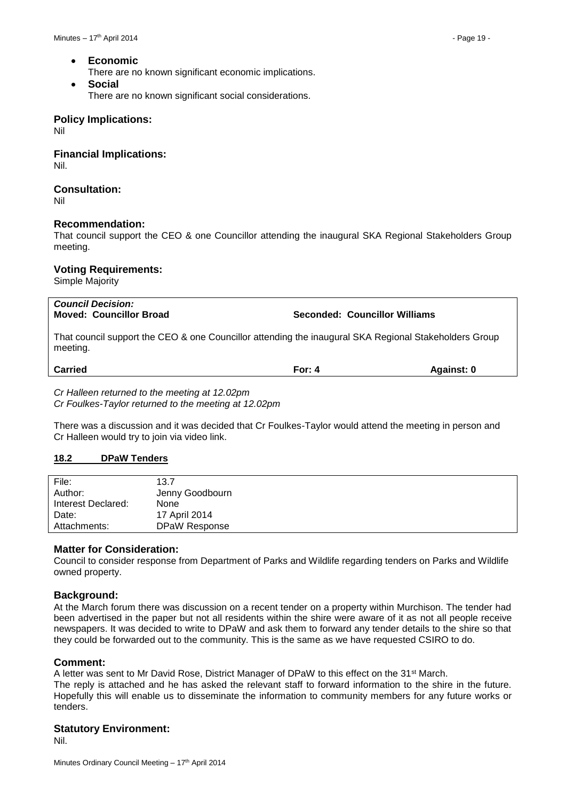**Economic**

There are no known significant economic implications.

 **Social** There are no known significant social considerations.

#### **Policy Implications:**

Nil

**Financial Implications:** Nil.

#### **Consultation:**

Nil

#### **Recommendation:**

That council support the CEO & one Councillor attending the inaugural SKA Regional Stakeholders Group meeting.

#### **Voting Requirements:**

Simple Majority

| <b>Council Decision:</b><br><b>Moved: Councillor Broad</b>                                                        | Seconded: Councillor Williams |            |
|-------------------------------------------------------------------------------------------------------------------|-------------------------------|------------|
| That council support the CEO & one Councillor attending the inaugural SKA Regional Stakeholders Group<br>meeting. |                               |            |
| <b>Carried</b>                                                                                                    | For: $4$                      | Against: 0 |
| Cr Halleen returned to the meeting at 12.02pm                                                                     |                               |            |

*Cr Foulkes-Taylor returned to the meeting at 12.02pm*

There was a discussion and it was decided that Cr Foulkes-Taylor would attend the meeting in person and Cr Halleen would try to join via video link.

#### <span id="page-18-0"></span>**18.2 DPaW Tenders**

| File:              | 13.7            |
|--------------------|-----------------|
| Author:            | Jenny Goodbourn |
| Interest Declared: | None            |
| Date:              | 17 April 2014   |
| Attachments:       | DPaW Response   |

#### **Matter for Consideration:**

Council to consider response from Department of Parks and Wildlife regarding tenders on Parks and Wildlife owned property.

#### **Background:**

At the March forum there was discussion on a recent tender on a property within Murchison. The tender had been advertised in the paper but not all residents within the shire were aware of it as not all people receive newspapers. It was decided to write to DPaW and ask them to forward any tender details to the shire so that they could be forwarded out to the community. This is the same as we have requested CSIRO to do.

#### **Comment:**

A letter was sent to Mr David Rose, District Manager of DPaW to this effect on the 31<sup>st</sup> March. The reply is attached and he has asked the relevant staff to forward information to the shire in the future. Hopefully this will enable us to disseminate the information to community members for any future works or tenders.

#### **Statutory Environment:**

Nil.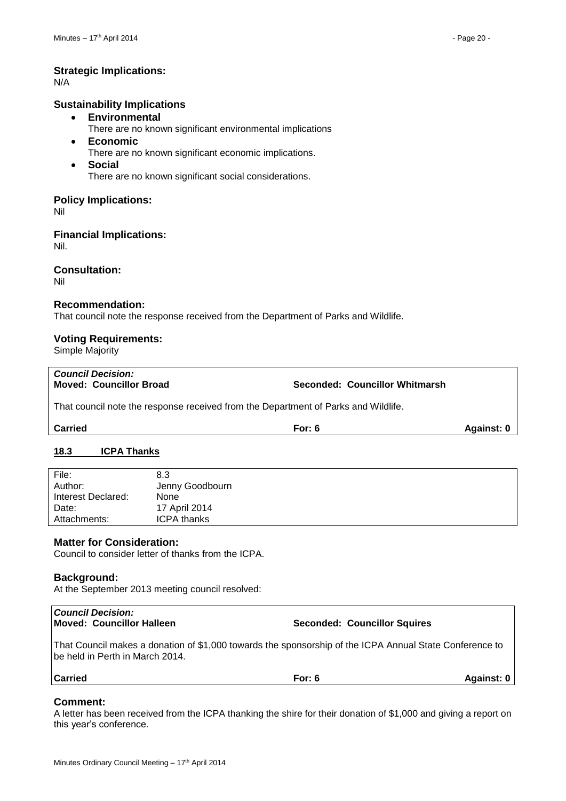#### **Strategic Implications:**

N/A

#### **Sustainability Implications**

- **Environmental**
	- There are no known significant environmental implications
- **Economic**
	- There are no known significant economic implications.
- **Social** There are no known significant social considerations.

#### **Policy Implications:**

Nil

**Financial Implications:**

Nil.

#### **Consultation:**

Nil

#### **Recommendation:**

That council note the response received from the Department of Parks and Wildlife.

#### **Voting Requirements:**

Simple Majority

*Council Decision:*

#### **Moved: Councillor Broad Seconded: Councillor Whitmarsh**

That council note the response received from the Department of Parks and Wildlife.

**Carried For: 6 Against: 0**

#### <span id="page-19-0"></span>**18.3 ICPA Thanks**

| File:              | 8.3                |
|--------------------|--------------------|
| Author:            | Jenny Goodbourn    |
| Interest Declared: | None               |
| Date:              | 17 April 2014      |
| Attachments:       | <b>ICPA thanks</b> |
|                    |                    |

#### **Matter for Consideration:**

Council to consider letter of thanks from the ICPA.

#### **Background:**

At the September 2013 meeting council resolved:

#### *Council Decision:* **Moved: Councillor Halleen Seconded: Councillor Squires**

That Council makes a donation of \$1,000 towards the sponsorship of the ICPA Annual State Conference to be held in Perth in March 2014.

| <b>Carried</b> | $\mathsf{r}$ or: $\mathsf{r}$ | <b>Against: 0</b> |
|----------------|-------------------------------|-------------------|
|                |                               |                   |

#### **Comment:**

A letter has been received from the ICPA thanking the shire for their donation of \$1,000 and giving a report on this year's conference.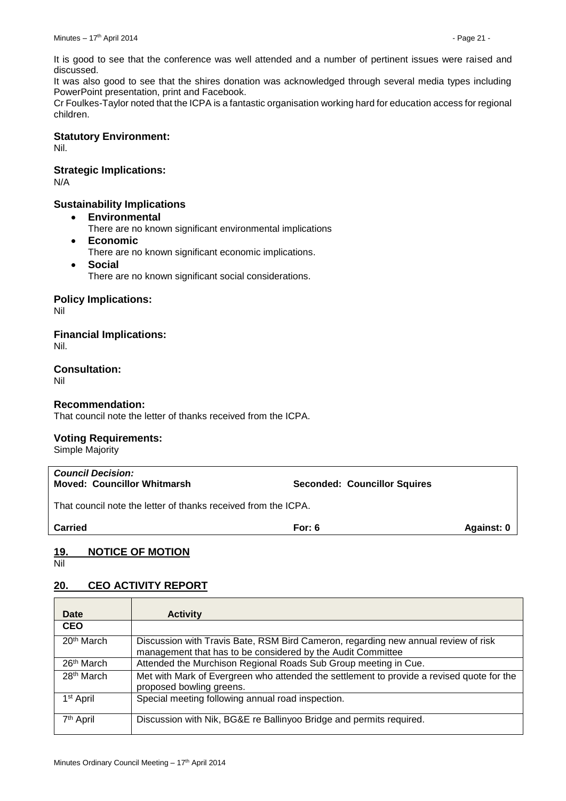It is good to see that the conference was well attended and a number of pertinent issues were raised and discussed.

It was also good to see that the shires donation was acknowledged through several media types including PowerPoint presentation, print and Facebook.

Cr Foulkes-Taylor noted that the ICPA is a fantastic organisation working hard for education access for regional children.

#### **Statutory Environment:**

Nil.

#### **Strategic Implications:**

N/A

#### **Sustainability Implications**

- **Environmental**
	- There are no known significant environmental implications
- **Economic**
	- There are no known significant economic implications.
- **Social** There are no known significant social considerations.

#### **Policy Implications:**

Nil

**Financial Implications:**

Nil.

**Consultation:**

Nil

#### **Recommendation:**

That council note the letter of thanks received from the ICPA.

#### **Voting Requirements:**

Simple Majority

| <b>Council Decision:</b><br><b>Moved: Councillor Whitmarsh</b> | <b>Seconded: Councillor Squires</b> |            |
|----------------------------------------------------------------|-------------------------------------|------------|
| That council note the letter of thanks received from the ICPA. |                                     |            |
| <b>Carried</b>                                                 | For: 6                              | Against: 0 |
|                                                                |                                     |            |

#### <span id="page-20-0"></span>**19. NOTICE OF MOTION**

Nil

#### <span id="page-20-1"></span>**20. CEO ACTIVITY REPORT**

| Date                   | <b>Activity</b>                                                                                                                                   |
|------------------------|---------------------------------------------------------------------------------------------------------------------------------------------------|
| <b>CEO</b>             |                                                                                                                                                   |
| 20 <sup>th</sup> March | Discussion with Travis Bate, RSM Bird Cameron, regarding new annual review of risk<br>management that has to be considered by the Audit Committee |
| 26 <sup>th</sup> March | Attended the Murchison Regional Roads Sub Group meeting in Cue.                                                                                   |
| 28 <sup>th</sup> March | Met with Mark of Evergreen who attended the settlement to provide a revised quote for the<br>proposed bowling greens.                             |
| 1 <sup>st</sup> April  | Special meeting following annual road inspection.                                                                                                 |
| 7 <sup>th</sup> April  | Discussion with Nik, BG&E re Ballinyoo Bridge and permits required.                                                                               |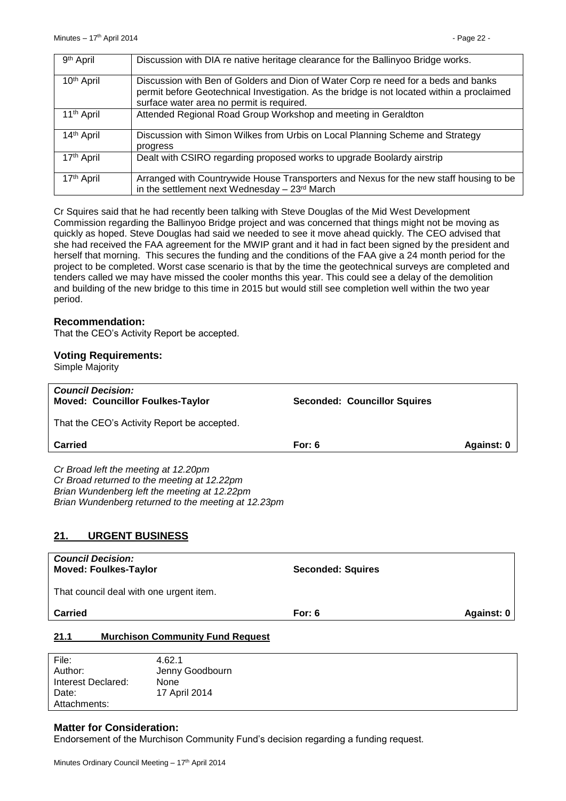| 9 <sup>th</sup> April  | Discussion with DIA re native heritage clearance for the Ballinyoo Bridge works.                                                                                                                                              |
|------------------------|-------------------------------------------------------------------------------------------------------------------------------------------------------------------------------------------------------------------------------|
| 10 <sup>th</sup> April | Discussion with Ben of Golders and Dion of Water Corp re need for a beds and banks<br>permit before Geotechnical Investigation. As the bridge is not located within a proclaimed<br>surface water area no permit is required. |
| 11 <sup>th</sup> April | Attended Regional Road Group Workshop and meeting in Geraldton                                                                                                                                                                |
| 14 <sup>th</sup> April | Discussion with Simon Wilkes from Urbis on Local Planning Scheme and Strategy<br>progress                                                                                                                                     |
| 17 <sup>th</sup> April | Dealt with CSIRO regarding proposed works to upgrade Boolardy airstrip                                                                                                                                                        |
| 17 <sup>th</sup> April | Arranged with Countrywide House Transporters and Nexus for the new staff housing to be<br>in the settlement next Wednesday $-23rd$ March                                                                                      |

Cr Squires said that he had recently been talking with Steve Douglas of the Mid West Development Commission regarding the Ballinyoo Bridge project and was concerned that things might not be moving as quickly as hoped. Steve Douglas had said we needed to see it move ahead quickly. The CEO advised that she had received the FAA agreement for the MWIP grant and it had in fact been signed by the president and herself that morning. This secures the funding and the conditions of the FAA give a 24 month period for the project to be completed. Worst case scenario is that by the time the geotechnical surveys are completed and tenders called we may have missed the cooler months this year. This could see a delay of the demolition and building of the new bridge to this time in 2015 but would still see completion well within the two year period.

#### **Recommendation:**

That the CEO's Activity Report be accepted.

#### **Voting Requirements:**

Simple Majority

| <b>Council Decision:</b><br><b>Moved: Councillor Foulkes-Taylor</b>                                                                                                                                                         | <b>Seconded: Councillor Squires</b> |            |
|-----------------------------------------------------------------------------------------------------------------------------------------------------------------------------------------------------------------------------|-------------------------------------|------------|
| That the CEO's Activity Report be accepted.                                                                                                                                                                                 |                                     |            |
| Carried                                                                                                                                                                                                                     | For: $6$                            | Against: 0 |
| Cr Broad left the meeting at 12.20pm<br>Cr Broad returned to the meeting at 12.22pm<br>Brian Wundenberg left the meeting at 12.22pm<br>Brian Wundenberg returned to the meeting at 12.23pm<br><b>URGENT BUSINESS</b><br>21. |                                     |            |
| <b>Council Decision:</b><br><b>Moved: Foulkes-Taylor</b>                                                                                                                                                                    | <b>Seconded: Squires</b>            |            |
| That council deal with one urgent item.                                                                                                                                                                                     |                                     |            |
| <b>Carried</b>                                                                                                                                                                                                              | For: $6$                            | Against: 0 |
| <b>Murchison Community Fund Request</b><br>21.1                                                                                                                                                                             |                                     |            |

<span id="page-21-1"></span><span id="page-21-0"></span>

| File:              | 4.62.1          |
|--------------------|-----------------|
| Author:            | Jenny Goodbourn |
| Interest Declared: | None            |
| Date:              | 17 April 2014   |
| Attachments:       |                 |

#### **Matter for Consideration:**

Endorsement of the Murchison Community Fund's decision regarding a funding request.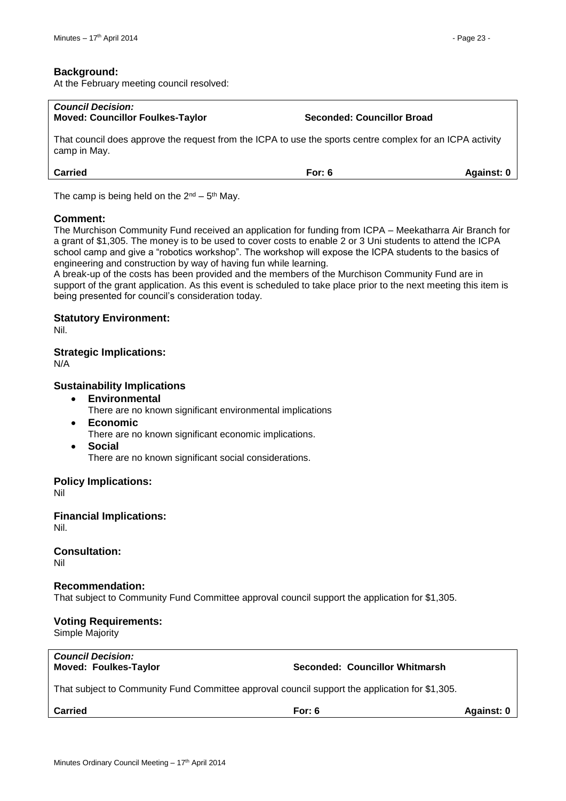#### **Background:**

At the February meeting council resolved:

| <b>Council Decision:</b><br><b>Moved: Councillor Foulkes-Taylor</b>                                                       | <b>Seconded: Councillor Broad</b> |            |
|---------------------------------------------------------------------------------------------------------------------------|-----------------------------------|------------|
| That council does approve the request from the ICPA to use the sports centre complex for an ICPA activity<br>camp in May. |                                   |            |
| <b>Carried</b>                                                                                                            | For: $6$                          | Against: 0 |

The camp is being held on the  $2<sup>nd</sup> - 5<sup>th</sup>$  May.

#### **Comment:**

The Murchison Community Fund received an application for funding from ICPA – Meekatharra Air Branch for a grant of \$1,305. The money is to be used to cover costs to enable 2 or 3 Uni students to attend the ICPA school camp and give a "robotics workshop". The workshop will expose the ICPA students to the basics of engineering and construction by way of having fun while learning.

A break-up of the costs has been provided and the members of the Murchison Community Fund are in support of the grant application. As this event is scheduled to take place prior to the next meeting this item is being presented for council's consideration today.

#### **Statutory Environment:**

Nil.

#### **Strategic Implications:**

N/A

#### **Sustainability Implications**

- **Environmental**
	- There are no known significant environmental implications
- **Economic**
	- There are no known significant economic implications.
- **Social**

There are no known significant social considerations.

#### **Policy Implications:**

Nil

### **Financial Implications:**

Nil.

## **Consultation:**

Nil

#### **Recommendation:**

That subject to Community Fund Committee approval council support the application for \$1,305.

#### **Voting Requirements:**

Simple Majority

| <b>Council Decision:</b> |  |
|--------------------------|--|
| Moved: Foulkes-Taylor    |  |

#### **Seconded: Councillor Whitmarsh**

That subject to Community Fund Committee approval council support the application for \$1,305.

**Carried For: 6 Against: 0**